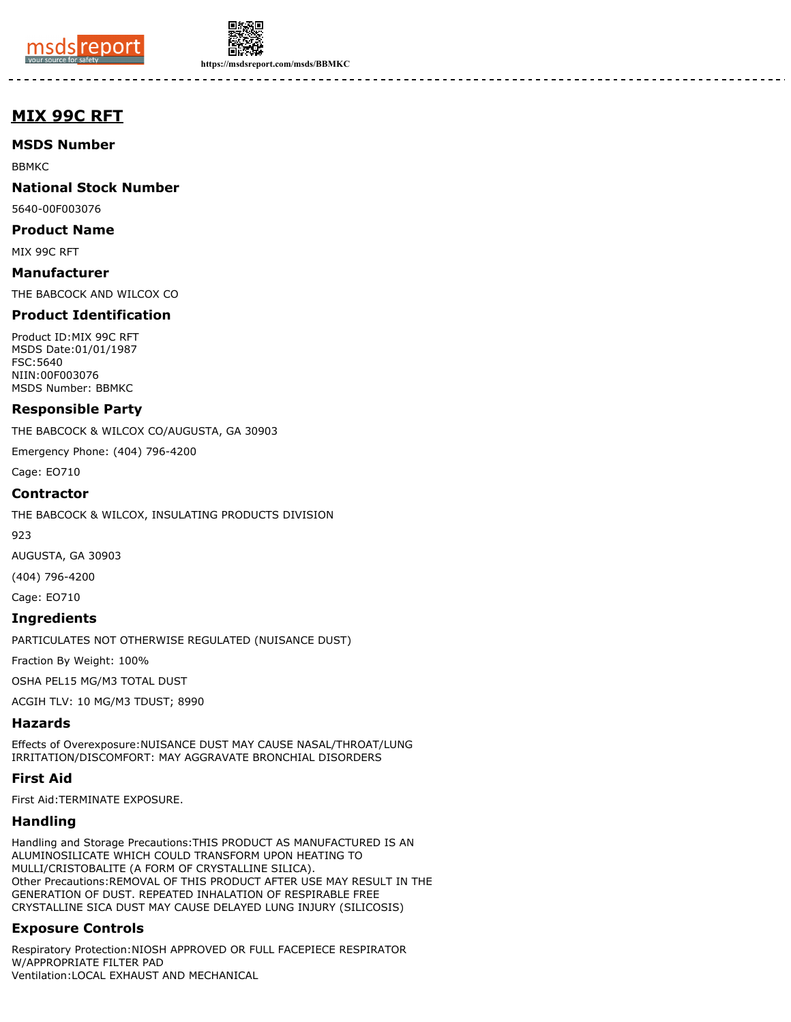



**https://msdsreport.com/msds/BBMKC**

# **MIX 99C RFT**

**MSDS Number**

BBMKC

**National Stock Number**

5640-00F003076

**Product Name**

MIX 99C RFT

**Manufacturer** THE BABCOCK AND WILCOX CO

## **Product Identification**

Product ID:MIX 99C RFT MSDS Date:01/01/1987 FSC:5640 NIIN:00F003076 MSDS Number: BBMKC

#### **Responsible Party**

THE BABCOCK & WILCOX CO/AUGUSTA, GA 30903

Emergency Phone: (404) 796-4200

Cage: EO710

#### **Contractor**

THE BABCOCK & WILCOX, INSULATING PRODUCTS DIVISION

923

AUGUSTA, GA 30903

(404) 796-4200

Cage: EO710

#### **Ingredients**

PARTICULATES NOT OTHERWISE REGULATED (NUISANCE DUST)

Fraction By Weight: 100%

OSHA PEL15 MG/M3 TOTAL DUST

ACGIH TLV: 10 MG/M3 TDUST; 8990

#### **Hazards**

Effects of Overexposure:NUISANCE DUST MAY CAUSE NASAL/THROAT/LUNG IRRITATION/DISCOMFORT: MAY AGGRAVATE BRONCHIAL DISORDERS

#### **First Aid**

First Aid:TERMINATE EXPOSURE.

#### **Handling**

Handling and Storage Precautions:THIS PRODUCT AS MANUFACTURED IS AN ALUMINOSILICATE WHICH COULD TRANSFORM UPON HEATING TO MULLI/CRISTOBALITE (A FORM OF CRYSTALLINE SILICA). Other Precautions:REMOVAL OF THIS PRODUCT AFTER USE MAY RESULT IN THE GENERATION OF DUST. REPEATED INHALATION OF RESPIRABLE FREE CRYSTALLINE SICA DUST MAY CAUSE DELAYED LUNG INJURY (SILICOSIS)

## **Exposure Controls**

Respiratory Protection:NIOSH APPROVED OR FULL FACEPIECE RESPIRATOR W/APPROPRIATE FILTER PAD Ventilation: LOCAL EXHAUST AND MECHANICAL